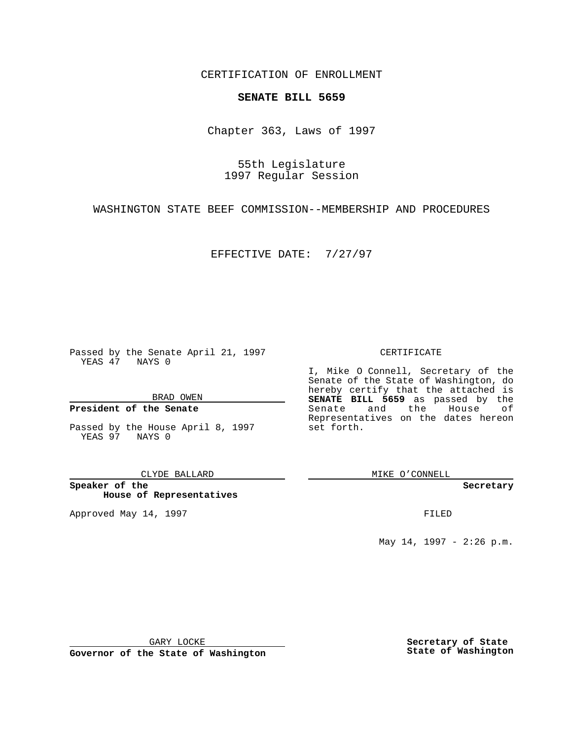CERTIFICATION OF ENROLLMENT

# **SENATE BILL 5659**

Chapter 363, Laws of 1997

55th Legislature 1997 Regular Session

WASHINGTON STATE BEEF COMMISSION--MEMBERSHIP AND PROCEDURES

EFFECTIVE DATE: 7/27/97

Passed by the Senate April 21, 1997 YEAS 47 NAYS 0

BRAD OWEN

### **President of the Senate**

Passed by the House April 8, 1997 YEAS 97 NAYS 0

CLYDE BALLARD

**Speaker of the House of Representatives**

Approved May 14, 1997 **FILED** 

### CERTIFICATE

I, Mike O Connell, Secretary of the Senate of the State of Washington, do hereby certify that the attached is **SENATE BILL 5659** as passed by the Senate and the House of Representatives on the dates hereon set forth.

MIKE O'CONNELL

#### **Secretary**

May 14, 1997 - 2:26 p.m.

GARY LOCKE

**Governor of the State of Washington**

**Secretary of State State of Washington**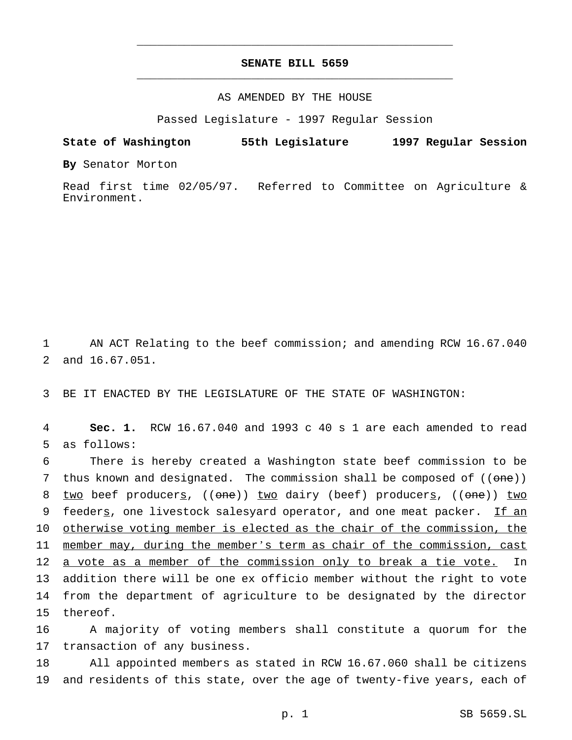# **SENATE BILL 5659** \_\_\_\_\_\_\_\_\_\_\_\_\_\_\_\_\_\_\_\_\_\_\_\_\_\_\_\_\_\_\_\_\_\_\_\_\_\_\_\_\_\_\_\_\_\_\_

\_\_\_\_\_\_\_\_\_\_\_\_\_\_\_\_\_\_\_\_\_\_\_\_\_\_\_\_\_\_\_\_\_\_\_\_\_\_\_\_\_\_\_\_\_\_\_

## AS AMENDED BY THE HOUSE

Passed Legislature - 1997 Regular Session

**State of Washington 55th Legislature 1997 Regular Session**

**By** Senator Morton

Read first time 02/05/97. Referred to Committee on Agriculture & Environment.

1 AN ACT Relating to the beef commission; and amending RCW 16.67.040 2 and 16.67.051.

3 BE IT ENACTED BY THE LEGISLATURE OF THE STATE OF WASHINGTON:

4 **Sec. 1.** RCW 16.67.040 and 1993 c 40 s 1 are each amended to read 5 as follows:

6 There is hereby created a Washington state beef commission to be 7 thus known and designated. The commission shall be composed of  $((one))$ 8 two beef producers, ((one)) two dairy (beef) producers, ((one)) two 9 feeders, one livestock salesyard operator, and one meat packer. If an 10 otherwise voting member is elected as the chair of the commission, the 11 member may, during the member's term as chair of the commission, cast 12 a vote as a member of the commission only to break a tie vote. In 13 addition there will be one ex officio member without the right to vote 14 from the department of agriculture to be designated by the director 15 thereof.

16 A majority of voting members shall constitute a quorum for the 17 transaction of any business.

18 All appointed members as stated in RCW 16.67.060 shall be citizens 19 and residents of this state, over the age of twenty-five years, each of

p. 1 SB 5659.SL